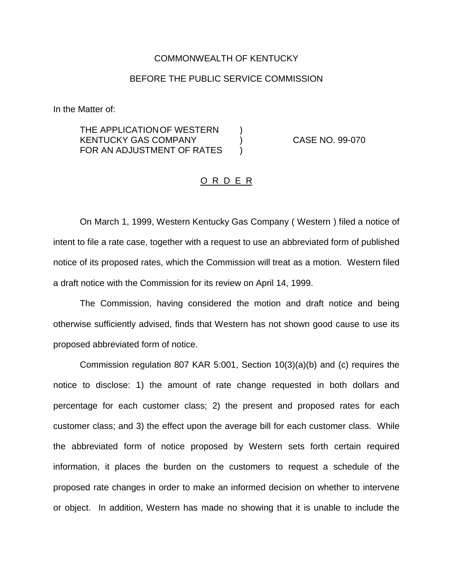## COMMONWEALTH OF KENTUCKY

## BEFORE THE PUBLIC SERVICE COMMISSION

In the Matter of:

THE APPLICATION OF WESTERN  $)$ KENTUCKY GAS COMPANY ) CASE NO. 99-070 FOR AN ADJUSTMENT OF RATES )

## O R D E R

On March 1, 1999, Western Kentucky Gas Company ( Western ) filed a notice of intent to file a rate case, together with a request to use an abbreviated form of published notice of its proposed rates, which the Commission will treat as a motion. Western filed a draft notice with the Commission for its review on April 14, 1999.

The Commission, having considered the motion and draft notice and being otherwise sufficiently advised, finds that Western has not shown good cause to use its proposed abbreviated form of notice.

Commission regulation 807 KAR 5:001, Section 10(3)(a)(b) and (c) requires the notice to disclose: 1) the amount of rate change requested in both dollars and percentage for each customer class; 2) the present and proposed rates for each customer class; and 3) the effect upon the average bill for each customer class. While the abbreviated form of notice proposed by Western sets forth certain required information, it places the burden on the customers to request a schedule of the proposed rate changes in order to make an informed decision on whether to intervene or object. In addition, Western has made no showing that it is unable to include the